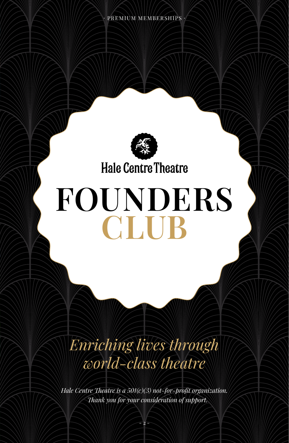

### **Hale Centre Theatre**

# **FOUNDERS CLUB**

### *Enriching lives through world-class theatre*

*Hale Centre Theatre is a 501(c)(3) not-for-profit organization. Thank you for your consideration of support.*

 $- 2 -$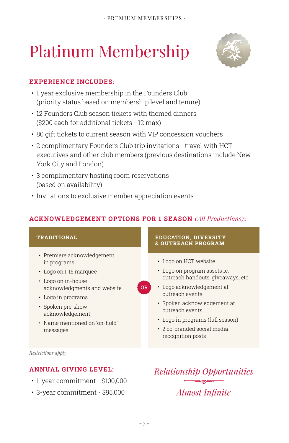## Platinum Membership



#### **EXPERIENCE INCLUDES:**

- 1 year exclusive membership in the Founders Club (priority status based on membership level and tenure)
- 12 Founders Club season tickets with themed dinners (\$200 each for additional tickets - 12 max)
- 80 gift tickets to current season with VIP concession vouchers
- 2 complimentary Founders Club trip invitations travel with HCT executives and other club members (previous destinations include New York City and London)
- 3 complimentary hosting room reservations (based on availability)
- Invitations to exclusive member appreciation events

#### **ACKNOWLEDGEMENT OPTIONS FOR 1 SEASON** *(All Productions)***:**

**OR** 

#### **TRADITIONAL**

- Premiere acknowledgement in programs
- Logo on I-15 marquee
- Logo on in-house acknowledgments and website
- Logo in programs
- Spoken pre-show acknowledgement
- Name mentioned on 'on-hold' messages

#### **EDUCATION, DIVERSITY & OUTREACH PROGRAM**

- Logo on HCT website
- Logo on program assets ie. outreach handouts, giveaways, etc.
- Logo acknowledgement at outreach events
- Spoken acknowledgement at outreach events
- Logo in programs (full season)
- 2 co-branded social media recognition posts

*Restrictions apply*

#### **ANNUAL GIVING LEVEL:**

- 1-year commitment \$100,000
- 3-year commitment \$95,000

*Relationship Opportunities Almost Infinite*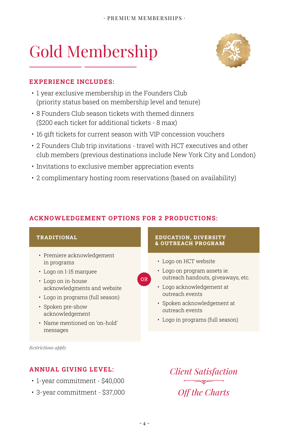## Gold Membership



- 1 year exclusive membership in the Founders Club (priority status based on membership level and tenure)
- 8 Founders Club season tickets with themed dinners (\$200 each ticket for additional tickets - 8 max)
- 16 gift tickets for current season with VIP concession vouchers
- 2 Founders Club trip invitations travel with HCT executives and other club members (previous destinations include New York City and London)

**OR** 

- Invitations to exclusive member appreciation events
- 2 complimentary hosting room reservations (based on availability)

#### **ACKNOWLEDGEMENT OPTIONS FOR 2 PRODUCTIONS:**

#### **TRADITIONAL**

- Premiere acknowledgement in programs
- Logo on I-15 marquee
- Logo on in-house acknowledgments and website
- Logo in programs (full season)
- Spoken pre-show acknowledgement
- Name mentioned on 'on-hold' messages

#### **EDUCATION, DIVERSITY & OUTREACH PROGRAM**

- Logo on HCT website
- Logo on program assets ie. outreach handouts, giveaways, etc.
- Logo acknowledgement at outreach events
- Spoken acknowledgement at outreach events
- Logo in programs (full season)

*Restrictions apply*

#### **ANNUAL GIVING LEVEL:**

- 1-year commitment \$40,000
- 3-year commitment \$37,000

*Client Satisfaction Off the Charts*

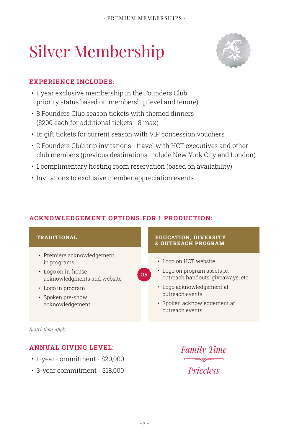### Silver Membership



- 1 year exclusive membership in the Founders Club priority status based on membership level and tenure)
- 8 Founders Club season tickets with themed dinners (\$200 each for additional tickets - 8 max)
- 16 gift tickets for current season with VIP concession vouchers
- 2 Founders Club trip invitations travel with HCT executives and other club members (previous destinations include New York City and London)
- 1 complimentary hosting room reservation (based on availability)
- Invitations to exclusive member appreciation events

#### **ACKNOWLEDGEMENT OPTIONS FOR 1 PRODUCTION:**

#### **TRADITIONAL EDUCATION, DIVERSITY & OUTREACH PROGRAM**• Premiere acknowledgement • Logo on HCT website in programs • Logo on program assets ie. • Logo on in-house **OR** outreach handouts, giveaways, etc. acknowledgments and website • Logo acknowledgement at • Logo in program outreach events • Spoken pre-show • Spoken acknowledgement at acknowledgement outreach events

*Restrictions apply*

#### **ANNUAL GIVING LEVEL:**

- 1-year commitment \$20,000
- 3-year commitment \$18,000

*Family Time Priceless*